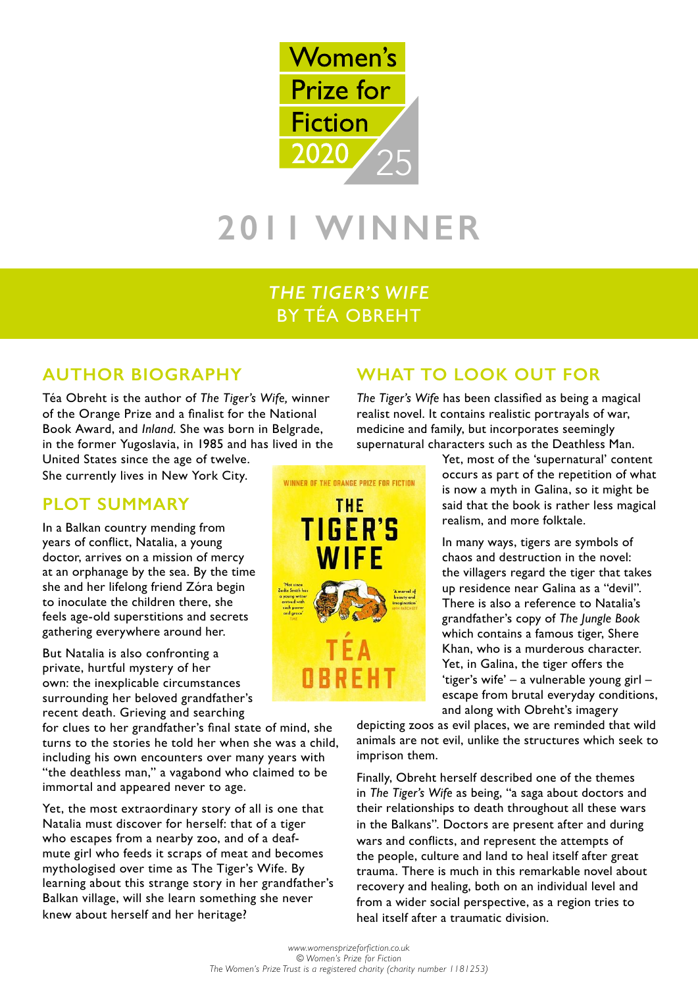

# **2011 WINNER**

# *THE TIGER'S WIFE* BY TÉA OBREHT

## **AUTHOR BIOGRAPHY**

Téa Obreht is the author of *The Tiger's Wife,* winner of the Orange Prize and a finalist for the National Book Award, and *Inland.* She was born in Belgrade, in the former Yugoslavia, in 1985 and has lived in the

United States since the age of twelve. She currently lives in New York City.

## **PLOT SUMMARY**

In a Balkan country mending from years of conflict, Natalia, a young doctor, arrives on a mission of mercy at an orphanage by the sea. By the time she and her lifelong friend Zóra begin to inoculate the children there, she feels age-old superstitions and secrets gathering everywhere around her.

But Natalia is also confronting a private, hurtful mystery of her own: the inexplicable circumstances surrounding her beloved grandfather's recent death. Grieving and searching

for clues to her grandfather's final state of mind, she turns to the stories he told her when she was a child, including his own encounters over many years with "the deathless man," a vagabond who claimed to be immortal and appeared never to age.

Yet, the most extraordinary story of all is one that Natalia must discover for herself: that of a tiger who escapes from a nearby zoo, and of a deafmute girl who feeds it scraps of meat and becomes mythologised over time as The Tiger's Wife. By learning about this strange story in her grandfather's Balkan village, will she learn something she never knew about herself and her heritage?

# **WHAT TO LOOK OUT FOR**

*The Tiger's Wife* has been classified as being a magical realist novel. It contains realistic portrayals of war, medicine and family, but incorporates seemingly supernatural characters such as the Deathless Man.

> Yet, most of the 'supernatural' content occurs as part of the repetition of what is now a myth in Galina, so it might be said that the book is rather less magical realism, and more folktale.

> In many ways, tigers are symbols of chaos and destruction in the novel: the villagers regard the tiger that takes up residence near Galina as a "devil". There is also a reference to Natalia's grandfather's copy of *The Jungle Book* which contains a famous tiger, Shere Khan, who is a murderous character. Yet, in Galina, the tiger offers the 'tiger's wife' – a vulnerable young girl – escape from brutal everyday conditions, and along with Obreht's imagery

depicting zoos as evil places, we are reminded that wild animals are not evil, unlike the structures which seek to imprison them.

Finally, Obreht herself described one of the themes in *The Tiger's Wife* as being, "a saga about doctors and their relationships to death throughout all these wars in the Balkans". Doctors are present after and during wars and conflicts, and represent the attempts of the people, culture and land to heal itself after great trauma. There is much in this remarkable novel about recovery and healing, both on an individual level and from a wider social perspective, as a region tries to heal itself after a traumatic division.